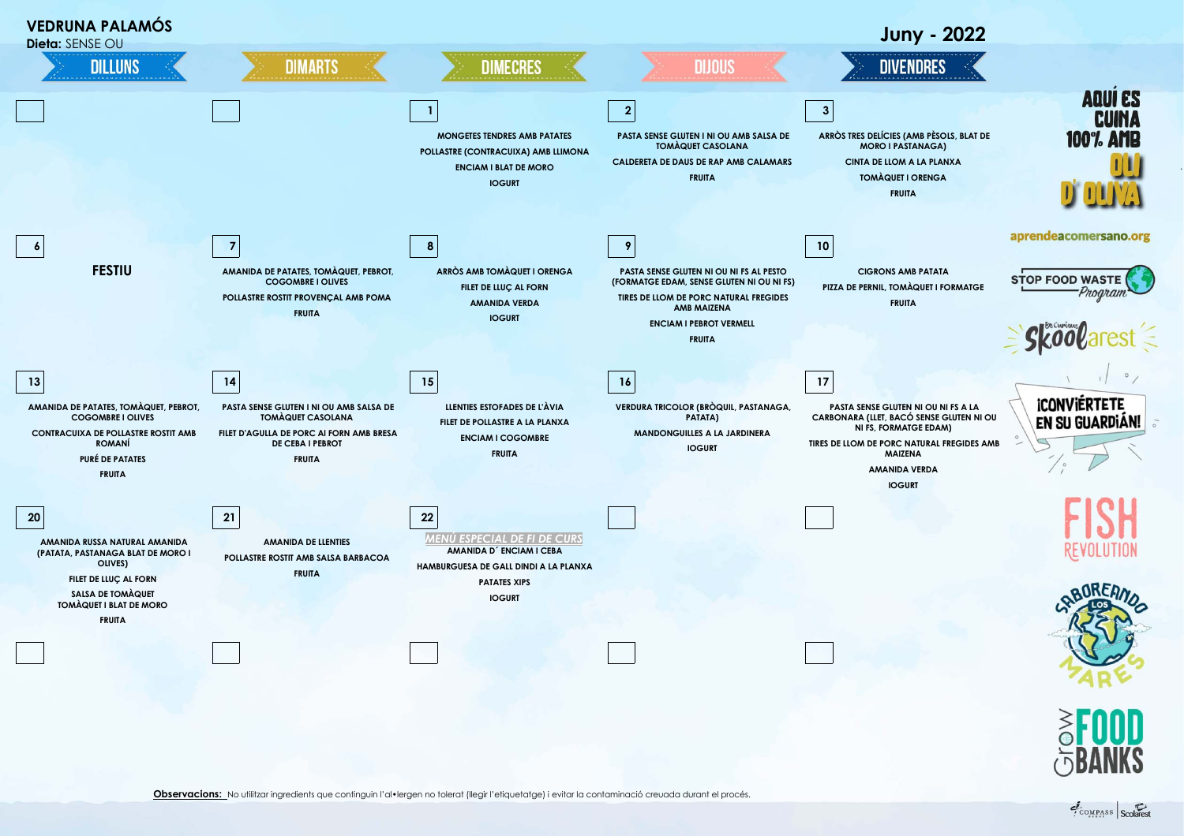